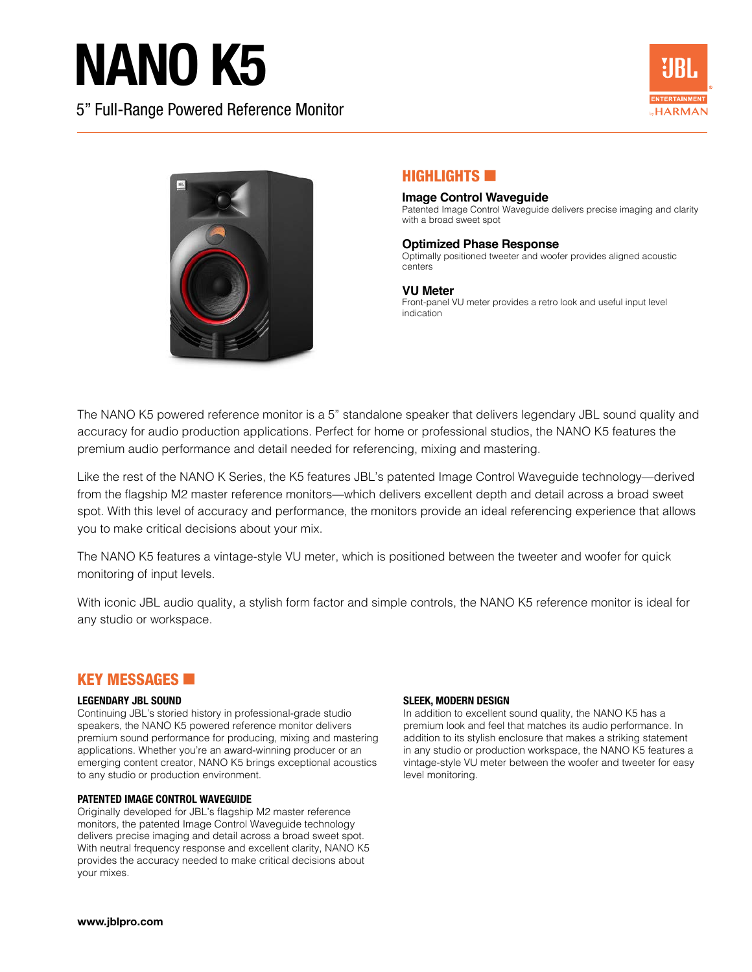# NANO K5

5" Full-Range Powered Reference Monitor





## **HIGHLIGHTS**

#### **Image Control Waveguide** Patented Image Control Waveguide delivers precise imaging and clarity with a broad sweet spot

### **Optimized Phase Response**

Optimally positioned tweeter and woofer provides aligned acoustic centers

## **VU Meter**

Front-panel VU meter provides a retro look and useful input level indication

The NANO K5 powered reference monitor is a 5" standalone speaker that delivers legendary JBL sound quality and accuracy for audio production applications. Perfect for home or professional studios, the NANO K5 features the premium audio performance and detail needed for referencing, mixing and mastering.

Like the rest of the NANO K Series, the K5 features JBL's patented Image Control Waveguide technology—derived from the flagship M2 master reference monitors—which delivers excellent depth and detail across a broad sweet spot. With this level of accuracy and performance, the monitors provide an ideal referencing experience that allows you to make critical decisions about your mix.

The NANO K5 features a vintage-style VU meter, which is positioned between the tweeter and woofer for quick monitoring of input levels.

With iconic JBL audio quality, a stylish form factor and simple controls, the NANO K5 reference monitor is ideal for any studio or workspace.

## **KEY MESSAGES**

### **LEGENDARY JBL SOUND**

Continuing JBL's storied history in professional-grade studio speakers, the NANO K5 powered reference monitor delivers premium sound performance for producing, mixing and mastering applications. Whether you're an award-winning producer or an emerging content creator, NANO K5 brings exceptional acoustics to any studio or production environment.

### **PATENTED IMAGE CONTROL WAVEGUIDE**

Originally developed for JBL's flagship M2 master reference monitors, the patented Image Control Waveguide technology delivers precise imaging and detail across a broad sweet spot. With neutral frequency response and excellent clarity, NANO K5 provides the accuracy needed to make critical decisions about your mixes.

### **SLEEK, MODERN DESIGN**

In addition to excellent sound quality, the NANO K5 has a premium look and feel that matches its audio performance. In addition to its stylish enclosure that makes a striking statement in any studio or production workspace, the NANO K5 features a vintage-style VU meter between the woofer and tweeter for easy level monitoring.